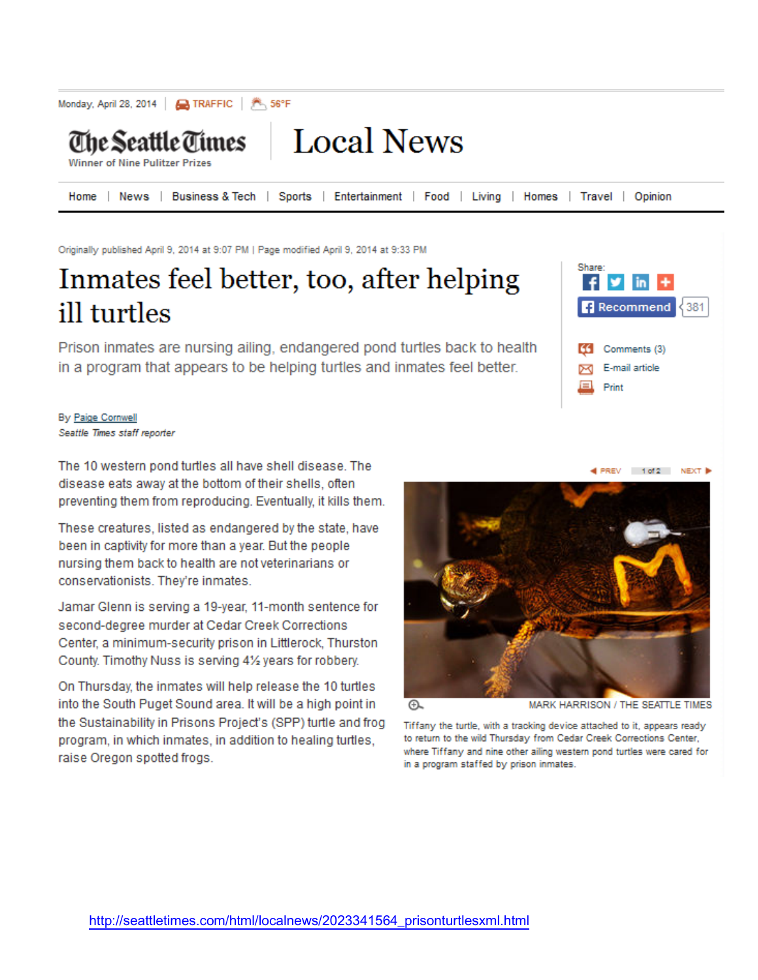

Originally published April 9, 2014 at 9:07 PM | Page modified April 9, 2014 at 9:33 PM

## Inmates feel better, too, after helping ill turtles

Prison inmates are nursing ailing, endangered pond turtles back to health in a program that appears to be helping turtles and inmates feel better.



By Paige Cornwell Seattle Times staff reporter

The 10 western pond turtles all have shell disease. The disease eats away at the bottom of their shells, often preventing them from reproducing. Eventually, it kills them.

These creatures, listed as endangered by the state, have been in captivity for more than a year. But the people nursing them back to health are not veterinarians or conservationists. They're inmates.

Jamar Glenn is serving a 19-year, 11-month sentence for second-degree murder at Cedar Creek Corrections Center, a minimum-security prison in Littlerock, Thurston County. Timothy Nuss is serving 41/2 years for robbery.

On Thursday, the inmates will help release the 10 turtles into the South Puget Sound area. It will be a high point in the Sustainability in Prisons Project's (SPP) turtle and frog program, in which inmates, in addition to healing turtles, raise Oregon spotted frogs.



⊕

MARK HARRISON / THE SEATTLE TIMES

Tiffany the turtle, with a tracking device attached to it, appears ready to return to the wild Thursday from Cedar Creek Corrections Center, where Tiffany and nine other ailing western pond turtles were cared for in a program staffed by prison inmates.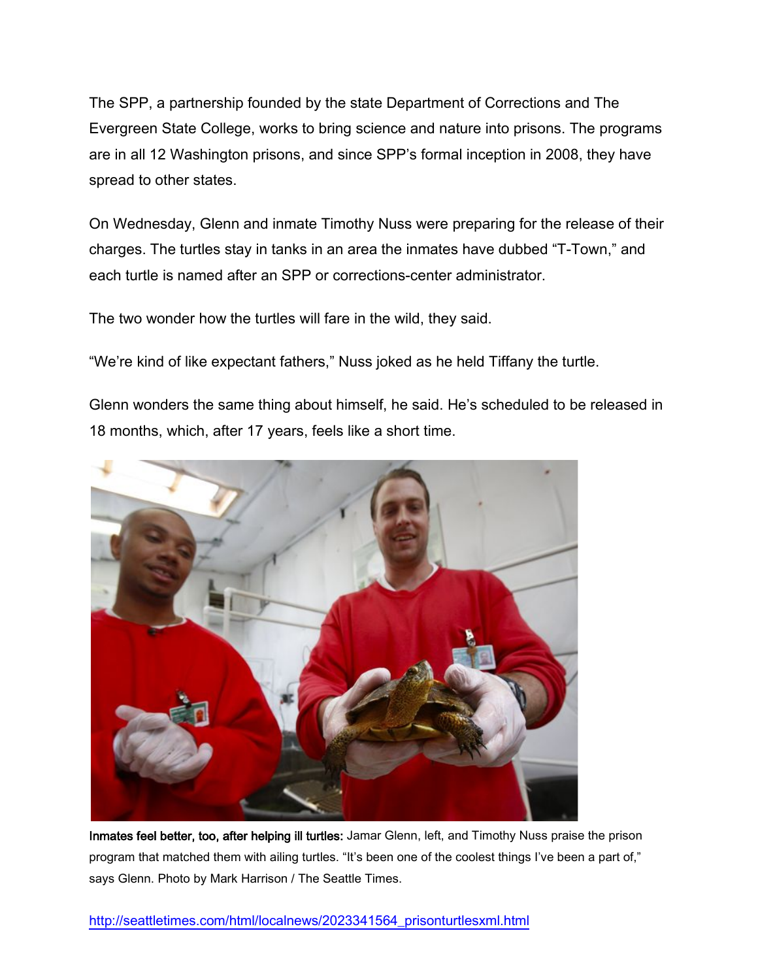The SPP, a partnership founded by the state Department of Corrections and The Evergreen State College, works to bring science and nature into prisons. The programs are in all 12 Washington prisons, and since SPP's formal inception in 2008, they have spread to other states.

On Wednesday, Glenn and inmate Timothy Nuss were preparing for the release of their charges. The turtles stay in tanks in an area the inmates have dubbed "T-Town," and each turtle is named after an SPP or corrections-center administrator.

The two wonder how the turtles will fare in the wild, they said.

"We're kind of like expectant fathers," Nuss joked as he held Tiffany the turtle.

Glenn wonders the same thing about himself, he said. He's scheduled to be released in 18 months, which, after 17 years, feels like a short time.



Inmates feel better, too, after helping ill turtles: Jamar Glenn, left, and Timothy Nuss praise the prison program that matched them with ailing turtles. "It's been one of the coolest things I've been a part of," says Glenn. Photo by Mark Harrison / The Seattle Times.

[http://seattletimes.com/html/localnews/2023341564\\_prisonturtlesxml.html](http://seattletimes.com/html/localnews/2023341564_prisonturtlesxml.html)